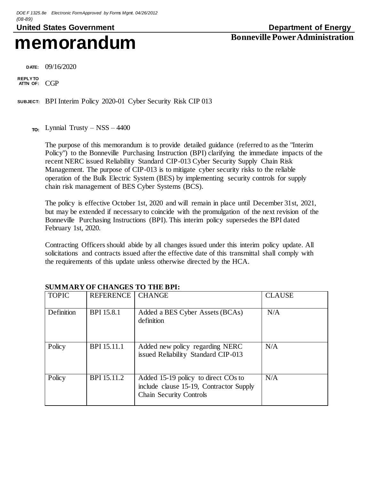# **memorandum Bonneville Power Administration**

United States Government **Department** of Energy

 **DATE:** 09/16/2020

 **REPLY TO ATTN OF:** CGP

**SUBJECT:** BPI Interim Policy 2020-01 Cyber Security Risk CIP 013

Lynnial Trusty – NSS – 4400 **TO:**

The purpose of this memorandum is to provide detailed guidance (referred to as the "Interim Policy") to the Bonneville Purchasing Instruction (BPI) clarifying the immediate impacts of the recent NERC issued Reliability Standard CIP-013 Cyber Security Supply Chain Risk Management. The purpose of CIP-013 is to mitigate cyber security risks to the reliable operation of the Bulk Electric System (BES) by implementing security controls for supply chain risk management of BES Cyber Systems (BCS).

The policy is effective October 1st, 2020 and will remain in place until December 31st, 2021, but may be extended if necessary to coincide with the promulgation of the next revision of the Bonneville Purchasing Instructions (BPI). This interim policy supersedes the BPI dated February 1st, 2020.

Contracting Officers should abide by all changes issued under this interim policy update. All solicitations and contracts issued after the effective date of this transmittal shall comply with the requirements of this update unless otherwise directed by the HCA.

| <b>TOPIC</b> | <b>REFERENCE</b> | <b>CHANGE</b>                                                                                                    | <b>CLAUSE</b> |
|--------------|------------------|------------------------------------------------------------------------------------------------------------------|---------------|
| Definition   | BPI 15.8.1       | Added a BES Cyber Assets (BCAs)<br>definition                                                                    | N/A           |
| Policy       | BPI 15.11.1      | Added new policy regarding NERC<br>issued Reliability Standard CIP-013                                           | N/A           |
| Policy       | BPI 15.11.2      | Added 15-19 policy to direct COs to<br>include clause 15-19, Contractor Supply<br><b>Chain Security Controls</b> | N/A           |

## **SUMMARY OF CHANGES TO THE BPI:**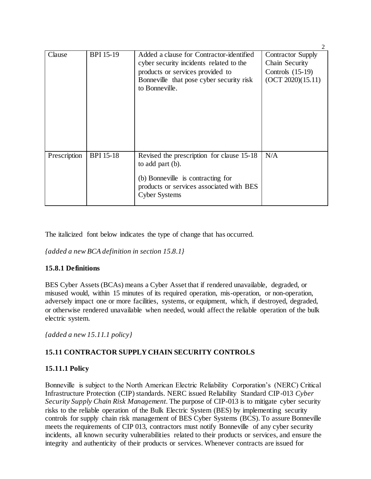| Clause       | <b>BPI</b> 15-19 | Added a clause for Contractor-identified<br>cyber security incidents related to the<br>products or services provided to<br>Bonneville that pose cyber security risk<br>to Bonneville. | <b>Contractor Supply</b><br>Chain Security<br>Controls $(15-19)$<br>(OCT 2020)(15.11) |
|--------------|------------------|---------------------------------------------------------------------------------------------------------------------------------------------------------------------------------------|---------------------------------------------------------------------------------------|
| Prescription | <b>BPI 15-18</b> | Revised the prescription for clause 15-18<br>to add part (b).<br>(b) Bonneville is contracting for<br>products or services associated with BES<br><b>Cyber Systems</b>                | N/A                                                                                   |

The italicized font below indicates the type of change that has occurred.

*{added a new BCA definition in section 15.8.1}*

### **15.8.1 Definitions**

BES Cyber Assets (BCAs) means a Cyber Asset that if rendered unavailable, degraded, or misused would, within 15 minutes of its required operation, mis-operation, or non-operation, adversely impact one or more facilities, systems, or equipment, which, if destroyed, degraded, or otherwise rendered unavailable when needed, would affect the reliable operation of the bulk electric system.

*{added a new 15.11.1 policy}*

## **15.11 CONTRACTOR SUPPLY CHAIN SECURITY CONTROLS**

### **15.11.1 Policy**

Bonneville is subject to the North American Electric Reliability Corporation's (NERC) Critical Infrastructure Protection (CIP) standards. NERC issued Reliability Standard CIP-013 *Cyber Security Supply Chain Risk Management*. The purpose of CIP-013 is to mitigate cyber security risks to the reliable operation of the Bulk Electric System (BES) by implementing security controls for supply chain risk management of BES Cyber Systems (BCS). To assure Bonneville meets the requirements of CIP 013, contractors must notify Bonneville of any cyber security incidents, all known security vulnerabilities related to their products or services, and ensure the integrity and authenticity of their products or services. Whenever contracts are issued for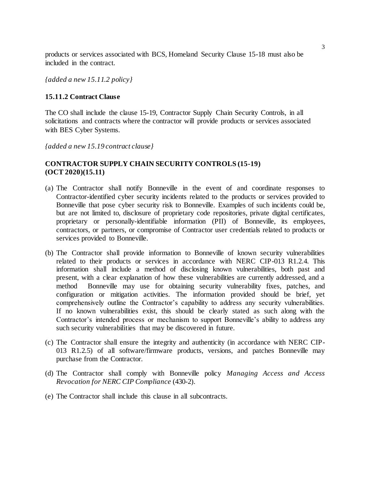products or services associated with BCS, Homeland Security Clause 15-18 must also be included in the contract.

*{added a new 15.11.2 policy}*

#### **15.11.2 Contract Clause**

The CO shall include the clause 15-19, Contractor Supply Chain Security Controls, in all solicitations and contracts where the contractor will provide products or services associated with BES Cyber Systems.

#### *{added a new 15.19 contract clause}*

#### **CONTRACTOR SUPPLY CHAIN SECURITY CONTROLS (15-19) (OCT 2020)(15.11)**

- (a) The Contractor shall notify Bonneville in the event of and coordinate responses to Contractor-identified cyber security incidents related to the products or services provided to Bonneville that pose cyber security risk to Bonneville. Examples of such incidents could be, but are not limited to, disclosure of proprietary code repositories, private digital certificates, proprietary or personally-identifiable information (PII) of Bonneville, its employees, contractors, or partners, or compromise of Contractor user credentials related to products or services provided to Bonneville.
- (b) The Contractor shall provide information to Bonneville of known security vulnerabilities related to their products or services in accordance with NERC CIP-013 R1.2.4. This information shall include a method of disclosing known vulnerabilities, both past and present, with a clear explanation of how these vulnerabilities are currently addressed, and a method Bonneville may use for obtaining security vulnerability fixes, patches, and configuration or mitigation activities. The information provided should be brief, yet comprehensively outline the Contractor's capability to address any security vulnerabilities. If no known vulnerabilities exist, this should be clearly stated as such along with the Contractor's intended process or mechanism to support Bonneville's ability to address any such security vulnerabilities that may be discovered in future.
- (c) The Contractor shall ensure the integrity and authenticity (in accordance with NERC CIP-013 R1.2.5) of all software/firmware products, versions, and patches Bonneville may purchase from the Contractor.
- (d) The Contractor shall comply with Bonneville policy *Managing Access and Access Revocation for NERC CIP Compliance* (430-2).
- (e) The Contractor shall include this clause in all subcontracts.